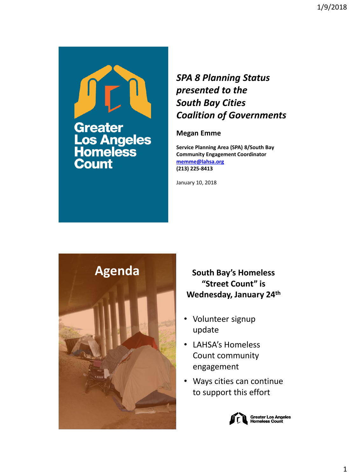Greater **Los Angeles<br>Homeless Count** 

#### *SPA 8 Planning Status presented to the South Bay Cities Coalition of Governments*

#### **Megan Emme**

**Service Planning Area (SPA) 8/South Bay Community Engagement Coordinator [memme@lahsa.org](mailto:memme@lahsa.org) (213) 225-8413**

January 10, 2018



**South Bay's Homeless "Street Count" is Wednesday, January 24th**

- Volunteer signup update
- LAHSA's Homeless Count community engagement
- Ways cities can continue to support this effort

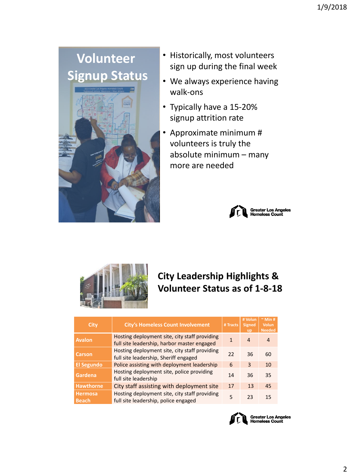# **Volunteer Signup Status**



- Historically, most volunteers sign up during the final week
- We always experience having walk-ons
- Typically have a 15-20% signup attrition rate
- Approximate minimum # volunteers is truly the absolute minimum – many more are needed





### **City Leadership Highlights & Volunteer Status as of 1-8-18**

| <b>City</b>             | <b>City's Homeless Count Involvement</b>                                                     | # Tracts | # Volun<br><b>Signed</b><br><b>up</b> | $~^{\sim}$ Min #<br><b>Volun</b><br><b>Needed</b> |
|-------------------------|----------------------------------------------------------------------------------------------|----------|---------------------------------------|---------------------------------------------------|
| <b>Avalon</b>           | Hosting deployment site, city staff providing<br>full site leadership, harbor master engaged | 1        | $\overline{4}$                        | 4                                                 |
| Carson                  | Hosting deployment site, city staff providing<br>full site leadership, Sheriff engaged       | 22       | 36                                    | 60                                                |
| <b>El Segundo</b>       | Police assisting with deployment leadership                                                  | 6        | 3                                     | 10                                                |
| Gardena                 | Hosting deployment site, police providing<br>full site leadership                            | 14       | 36                                    | 35                                                |
| <b>Hawthorne</b>        | City staff assisting with deployment site                                                    | 17       | 13                                    | 45                                                |
| Hermosa<br><b>Beach</b> | Hosting deployment site, city staff providing<br>full site leadership, police engaged        | 5        | 23                                    | 15                                                |

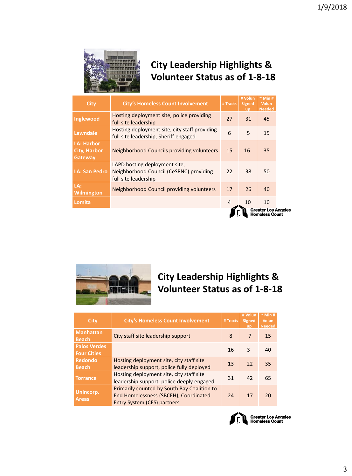

## **City Leadership Highlights & Volunteer Status as of 1-8-18**

| City                                                | <b>City's Homeless Count Involvement</b>                                                         | # Tracts | # Volun<br><b>Signed</b><br><b>up</b> | $~\sim$ Min #<br><b>Volun</b><br><b>Needed</b> |  |
|-----------------------------------------------------|--------------------------------------------------------------------------------------------------|----------|---------------------------------------|------------------------------------------------|--|
| Inglewood                                           | Hosting deployment site, police providing<br>full site leadership                                | 27       | 31                                    | 45                                             |  |
| Lawndale                                            | Hosting deployment site, city staff providing<br>full site leadership, Sheriff engaged           | 6        | 5                                     | 15                                             |  |
| <b>LA: Harbor</b><br><b>City, Harbor</b><br>Gateway | Neighborhood Councils providing volunteers                                                       | 15       | 16                                    | 35                                             |  |
| <b>LA: San Pedro</b>                                | LAPD hosting deployment site,<br>Neighborhood Council (CeSPNC) providing<br>full site leadership | 22       | 38                                    | 50                                             |  |
| LA:<br><b>Wilmington</b>                            | Neighborhood Council providing volunteers                                                        | 17       | 26                                    | 40                                             |  |
| Lomita                                              |                                                                                                  | 4        | 10                                    | 10                                             |  |
| <b>Greater Los Angeles</b><br><b>Homeless Count</b> |                                                                                                  |          |                                       |                                                |  |



#### **City Leadership Highlights & Volunteer Status as of 1-8-18**

| City                                      | <b>City's Homeless Count Involvement</b>                                                                            | # Tracts | # Volun<br><b>Signed</b><br><b>up</b> | $~^{\sim}$ Min #<br><b>Volun</b><br><b>Needed</b> |
|-------------------------------------------|---------------------------------------------------------------------------------------------------------------------|----------|---------------------------------------|---------------------------------------------------|
| <b>Manhattan</b><br><b>Beach</b>          | City staff site leadership support                                                                                  | 8        | 7                                     | 15                                                |
| <b>Palos Verdes</b><br><b>Four Cities</b> |                                                                                                                     | 16       | 3                                     | 40                                                |
| <b>Redondo</b><br><b>Beach</b>            | Hosting deployment site, city staff site<br>leadership support, police fully deployed                               | 13       | 22                                    | 35                                                |
| <b>Torrance</b>                           | Hosting deployment site, city staff site<br>leadership support, police deeply engaged                               | 31       | 42                                    | 65                                                |
| Unincorp.<br><b>Areas</b>                 | Primarily counted by South Bay Coalition to<br>End Homelessness (SBCEH), Coordinated<br>Entry System (CES) partners | 24       | 17                                    | 20                                                |